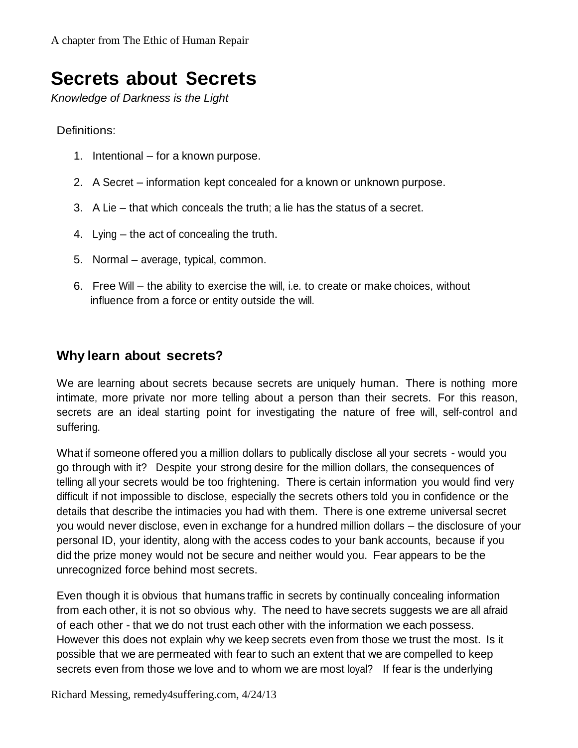# **Secrets about Secrets**

*Knowledge of Darkness is the Light*

Definitions:

- 1. Intentional for a known purpose.
- 2. A Secret information kept concealed for a known or unknown purpose.
- 3. A Lie that which conceals the truth; a lie has the status of a secret.
- 4. Lying the act of concealing the truth.
- 5. Normal average, typical, common.
- 6. Free Will the ability to exercise the will, i.e. to create or make choices, without influence from a force or entity outside the will.

### **Why learn about secrets?**

We are learning about secrets because secrets are uniquely human. There is nothing more intimate, more private nor more telling about a person than their secrets. For this reason, secrets are an ideal starting point for investigating the nature of free will, self-control and suffering.

What if someone offered you a million dollars to publically disclose all your secrets - would you go through with it? Despite your strong desire for the million dollars, the consequences of telling all your secrets would be too frightening. There is certain information you would find very difficult if not impossible to disclose, especially the secrets others told you in confidence or the details that describe the intimacies you had with them. There is one extreme universal secret you would never disclose, even in exchange for a hundred million dollars – the disclosure of your personal ID, your identity, along with the access codes to your bank accounts, because if you did the prize money would not be secure and neither would you. Fear appears to be the unrecognized force behind most secrets.

Even though it is obvious that humans traffic in secrets by continually concealing information from each other, it is not so obvious why. The need to have secrets suggests we are all afraid of each other - that we do not trust each other with the information we each possess. However this does not explain why we keep secrets even from those we trust the most. Is it possible that we are permeated with fear to such an extent that we are compelled to keep secrets even from those we love and to whom we are most loyal? If fear is the underlying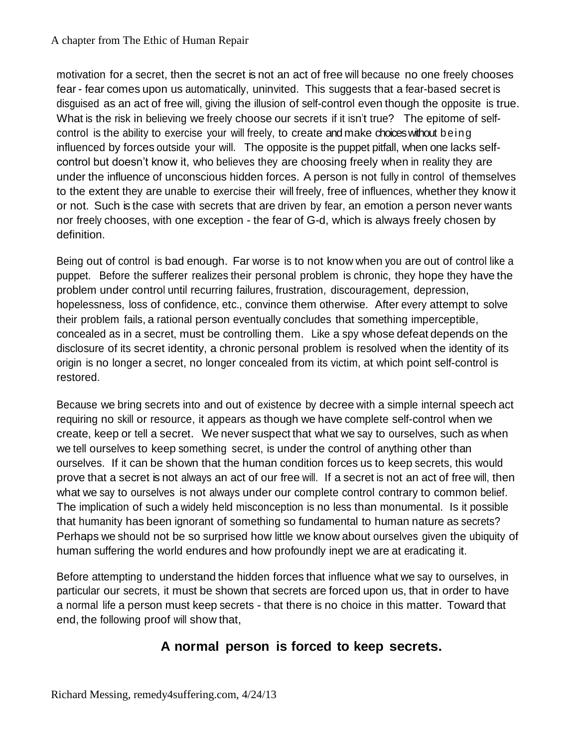#### A chapter from The Ethic of Human Repair

motivation for a secret, then the secret is not an act of free will because no one freely chooses fear - fear comes upon us automatically, uninvited. This suggests that a fear-based secret is disguised as an act of free will, giving the illusion of self-control even though the opposite is true. What is the risk in believing we freely choose our secrets if it isn't true? The epitome of selfcontrol is the ability to exercise your will freely, to create and make choices without being influenced by forces outside your will. The opposite is the puppet pitfall, when one lacks selfcontrol but doesn't know it, who believes they are choosing freely when in reality they are under the influence of unconscious hidden forces. A person is not fully in control of themselves to the extent they are unable to exercise their will freely, free of influences, whether they know it or not. Such is the case with secrets that are driven by fear, an emotion a person never wants nor freely chooses, with one exception - the fear of G-d, which is always freely chosen by definition.

Being out of control is bad enough. Far worse is to not know when you are out of control like a puppet. Before the sufferer realizes their personal problem is chronic, they hope they have the problem under control until recurring failures, frustration, discouragement, depression, hopelessness, loss of confidence, etc., convince them otherwise. After every attempt to solve their problem fails, a rational person eventually concludes that something imperceptible, concealed as in a secret, must be controlling them. Like a spy whose defeat depends on the disclosure of its secret identity, a chronic personal problem is resolved when the identity of its origin is no longer a secret, no longer concealed from its victim, at which point self-control is restored.

Because we bring secrets into and out of existence by decree with a simple internal speech act requiring no skill or resource, it appears as though we have complete self-control when we create, keep or tell a secret. We never suspect that what we say to ourselves, such as when we tell ourselves to keep something secret, is under the control of anything other than ourselves. If it can be shown that the human condition forces us to keep secrets, this would prove that a secret is not always an act of our free will. If a secret is not an act of free will, then what we say to ourselves is not always under our complete control contrary to common belief. The implication of such a widely held misconception is no less than monumental. Is it possible that humanity has been ignorant of something so fundamental to human nature as secrets? Perhaps we should not be so surprised how little we know about ourselves given the ubiquity of human suffering the world endures and how profoundly inept we are at eradicating it.

Before attempting to understand the hidden forces that influence what we say to ourselves, in particular our secrets, it must be shown that secrets are forced upon us, that in order to have a normal life a person must keep secrets - that there is no choice in this matter. Toward that end, the following proof will show that,

## **A normal person is forced to keep secrets.**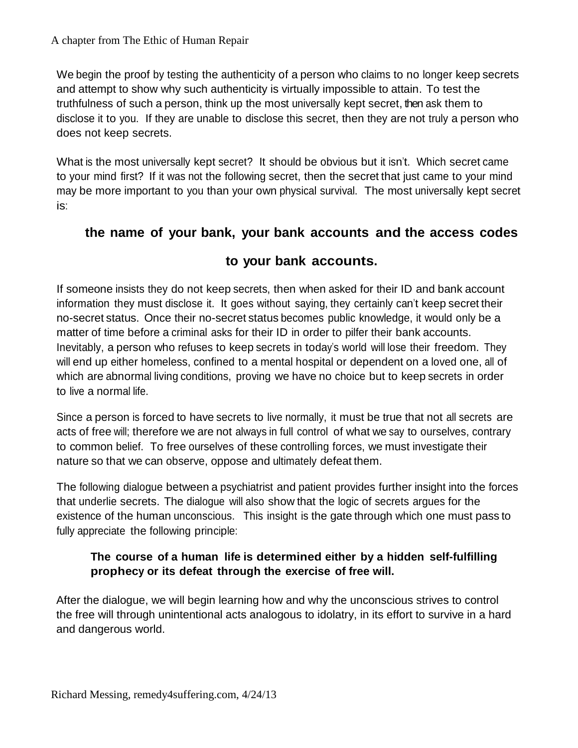We begin the proof by testing the authenticity of a person who claims to no longer keep secrets and attempt to show why such authenticity is virtually impossible to attain. To test the truthfulness of such a person, think up the most universally kept secret, then ask them to disclose it to you. If they are unable to disclose this secret, then they are not truly a person who does not keep secrets.

What is the most universally kept secret? It should be obvious but it isn't. Which secret came to your mind first? If it was not the following secret, then the secret that just came to your mind may be more important to you than your own physical survival. The most universally kept secret is:

### **the name of your bank, your bank accounts and the access codes**

### **to your bank accounts.**

If someone insists they do not keep secrets, then when asked for their ID and bank account information they must disclose it. It goes without saying, they certainly can't keep secret their no-secret status. Once their no-secret status becomes public knowledge, it would only be a matter of time before a criminal asks for their ID in order to pilfer their bank accounts. Inevitably, a person who refuses to keep secrets in today's world will lose their freedom. They will end up either homeless, confined to a mental hospital or dependent on a loved one, all of which are abnormal living conditions, proving we have no choice but to keep secrets in order to live a normal life.

Since a person is forced to have secrets to live normally, it must be true that not all secrets are acts of free will; therefore we are not always in full control of what we say to ourselves, contrary to common belief. To free ourselves of these controlling forces, we must investigate their nature so that we can observe, oppose and ultimately defeat them.

The following dialogue between a psychiatrist and patient provides further insight into the forces that underlie secrets. The dialogue will also show that the logic of secrets argues for the existence of the human unconscious. This insight is the gate through which one must pass to fully appreciate the following principle:

#### **The course of a human life is determined either by a hidden self-fulfilling prophecy or its defeat through the exercise of free will.**

After the dialogue, we will begin learning how and why the unconscious strives to control the free will through unintentional acts analogous to idolatry, in its effort to survive in a hard and dangerous world.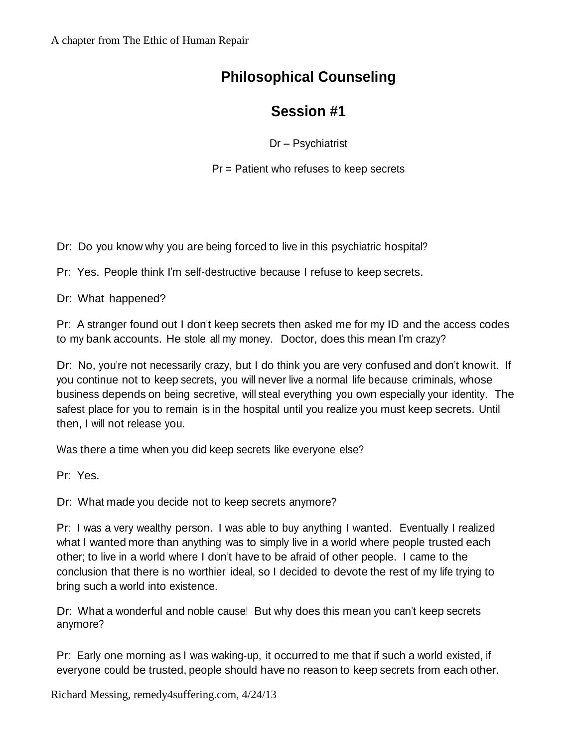# **Philosophical Counseling**

## **Session #1**

Dr – Psychiatrist

Pr = Patient who refuses to keep secrets

Dr: Do you know why you are being forced to live in this psychiatric hospital?

Pr: Yes. People think I'm self-destructive because I refuse to keep secrets.

Dr: What happened?

Pr: A stranger found out I don't keep secrets then asked me for my ID and the access codes to my bank accounts. He stole all my money. Doctor, does this mean I'm crazy?

Dr: No, you're not necessarily crazy, but I do think you are very confused and don't know it. If you continue not to keep secrets, you will never live a normal life because criminals, whose business depends on being secretive, will steal everything you own especially your identity. The safest place for you to remain is in the hospital until you realize you must keep secrets. Until then, I will not release you.

Was there a time when you did keep secrets like everyone else?

Pr: Yes.

Dr: What made you decide not to keep secrets anymore?

Pr: I was a very wealthy person. I was able to buy anything I wanted. Eventually I realized what I wanted more than anything was to simply live in a world where people trusted each other; to live in a world where I don't have to be afraid of other people. I came to the conclusion that there is no worthier ideal, so I decided to devote the rest of my life trying to bring such a world into existence.

Dr: What a wonderful and noble cause! But why does this mean you can't keep secrets anymore?

Pr: Early one morning as I was waking-up, it occurred to me that if such a world existed, if everyone could be trusted, people should have no reason to keep secrets from each other.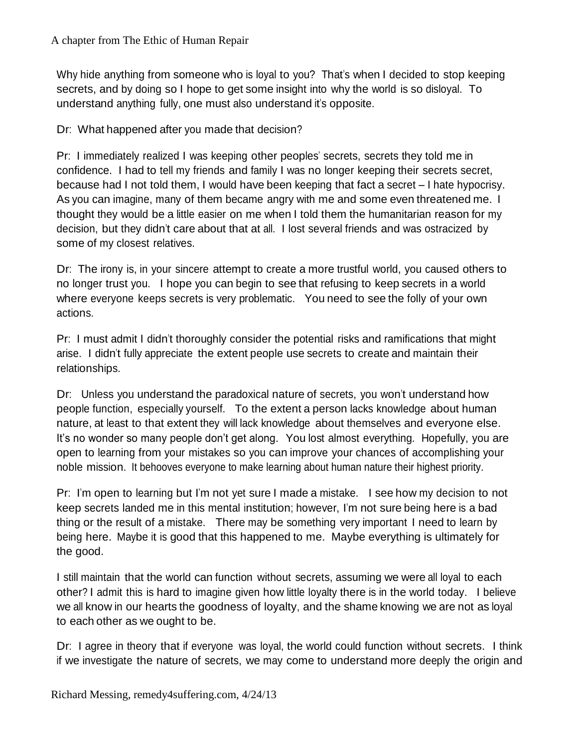Why hide anything from someone who is loyal to you? That's when I decided to stop keeping secrets, and by doing so I hope to get some insight into why the world is so disloyal. To understand anything fully, one must also understand it's opposite.

Dr: What happened after you made that decision?

Pr: I immediately realized I was keeping other peoples' secrets, secrets they told me in confidence. I had to tell my friends and family I was no longer keeping their secrets secret, because had I not told them, I would have been keeping that fact a secret – I hate hypocrisy. As you can imagine, many of them became angry with me and some even threatened me. I thought they would be a little easier on me when I told them the humanitarian reason for my decision, but they didn't care about that at all. I lost several friends and was ostracized by some of my closest relatives.

Dr: The irony is, in your sincere attempt to create a more trustful world, you caused others to no longer trust you. I hope you can begin to see that refusing to keep secrets in a world where everyone keeps secrets is very problematic. You need to see the folly of your own actions.

Pr: I must admit I didn't thoroughly consider the potential risks and ramifications that might arise. I didn't fully appreciate the extent people use secrets to create and maintain their relationships.

Dr: Unless you understand the paradoxical nature of secrets, you won't understand how people function, especially yourself. To the extent a person lacks knowledge about human nature, at least to that extent they will lack knowledge about themselves and everyone else. It's no wonder so many people don't get along. You lost almost everything. Hopefully, you are open to learning from your mistakes so you can improve your chances of accomplishing your noble mission. It behooves everyone to make learning about human nature their highest priority.

Pr: I'm open to learning but I'm not yet sure I made a mistake. I see how my decision to not keep secrets landed me in this mental institution; however, I'm not sure being here is a bad thing or the result of a mistake. There may be something very important I need to learn by being here. Maybe it is good that this happened to me. Maybe everything is ultimately for the good.

I still maintain that the world can function without secrets, assuming we were all loyal to each other? I admit this is hard to imagine given how little loyalty there is in the world today. I believe we all know in our hearts the goodness of loyalty, and the shame knowing we are not as loyal to each other as we ought to be.

Dr: I agree in theory that if everyone was loyal, the world could function without secrets. I think if we investigate the nature of secrets, we may come to understand more deeply the origin and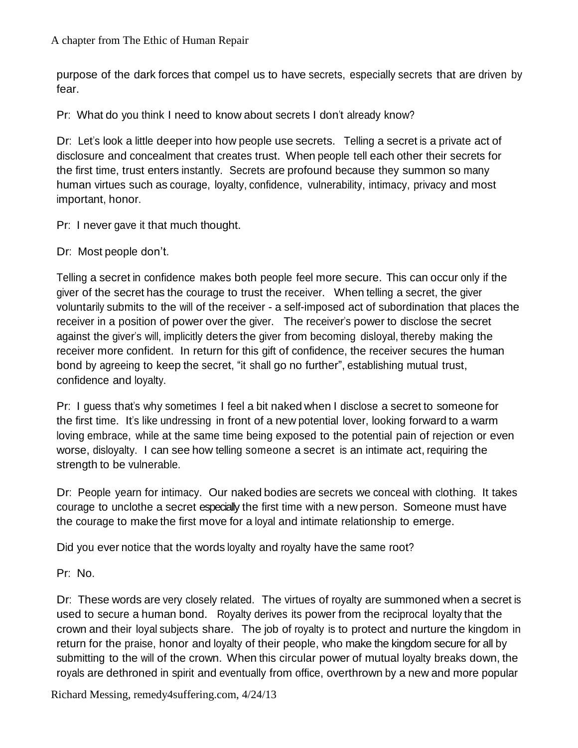purpose of the dark forces that compel us to have secrets, especially secrets that are driven by fear.

Pr: What do you think I need to know about secrets I don't already know?

Dr: Let's look a little deeper into how people use secrets. Telling a secret is a private act of disclosure and concealment that creates trust. When people tell each other their secrets for the first time, trust enters instantly. Secrets are profound because they summon so many human virtues such as courage, loyalty, confidence, vulnerability, intimacy, privacy and most important, honor.

Pr: I never gave it that much thought.

Dr: Most people don't.

Telling a secret in confidence makes both people feel more secure. This can occur only if the giver of the secret has the courage to trust the receiver. When telling a secret, the giver voluntarily submits to the will of the receiver - a self-imposed act of subordination that places the receiver in a position of power over the giver. The receiver's power to disclose the secret against the giver's will, implicitly deters the giver from becoming disloyal, thereby making the receiver more confident. In return for this gift of confidence, the receiver secures the human bond by agreeing to keep the secret, "it shall go no further", establishing mutual trust, confidence and loyalty.

Pr: I guess that's why sometimes I feel a bit naked when I disclose a secret to someone for the first time. It's like undressing in front of a new potential lover, looking forward to a warm loving embrace, while at the same time being exposed to the potential pain of rejection or even worse, disloyalty. I can see how telling someone a secret is an intimate act, requiring the strength to be vulnerable.

Dr: People yearn for intimacy. Our naked bodies are secrets we conceal with clothing. It takes courage to unclothe a secret especially the first time with a new person. Someone must have the courage to make the first move for a loyal and intimate relationship to emerge.

Did you ever notice that the words loyalty and royalty have the same root?

Pr: No.

Dr: These words are very closely related. The virtues of royalty are summoned when a secret is used to secure a human bond. Royalty derives its power from the reciprocal loyalty that the crown and their loyal subjects share. The job of royalty is to protect and nurture the kingdom in return for the praise, honor and loyalty of their people, who make the kingdom secure for all by submitting to the will of the crown. When this circular power of mutual loyalty breaks down, the royals are dethroned in spirit and eventually from office, overthrown by a new and more popular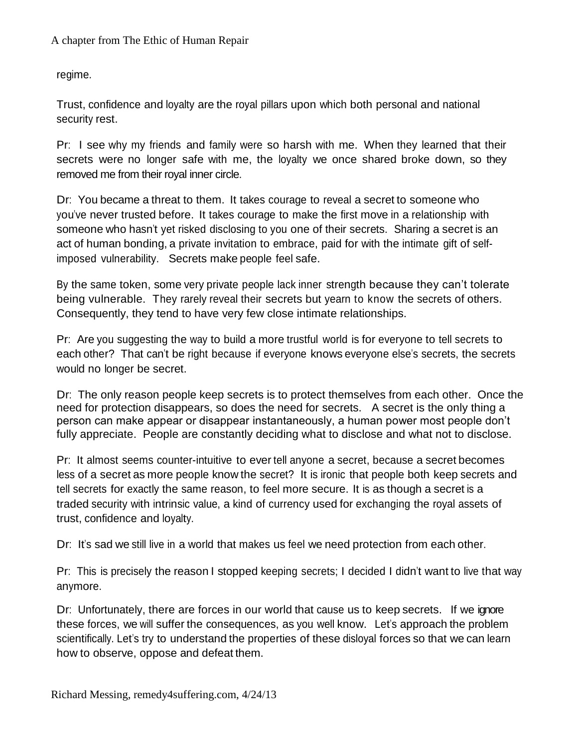regime.

Trust, confidence and loyalty are the royal pillars upon which both personal and national security rest.

Pr: I see why my friends and family were so harsh with me. When they learned that their secrets were no longer safe with me, the loyalty we once shared broke down, so they removed me from their royal inner circle.

Dr: You became a threat to them. It takes courage to reveal a secret to someone who you've never trusted before. It takes courage to make the first move in a relationship with someone who hasn't yet risked disclosing to you one of their secrets. Sharing a secret is an act of human bonding, a private invitation to embrace, paid for with the intimate gift of selfimposed vulnerability. Secrets make people feel safe.

By the same token, some very private people lack inner strength because they can't tolerate being vulnerable. They rarely reveal their secrets but yearn to know the secrets of others. Consequently, they tend to have very few close intimate relationships.

Pr: Are you suggesting the way to build a more trustful world is for everyone to tell secrets to each other? That can't be right because if everyone knows everyone else's secrets, the secrets would no longer be secret.

Dr: The only reason people keep secrets is to protect themselves from each other. Once the need for protection disappears, so does the need for secrets. A secret is the only thing a person can make appear or disappear instantaneously, a human power most people don't fully appreciate. People are constantly deciding what to disclose and what not to disclose.

Pr: It almost seems counter-intuitive to ever tell anyone a secret, because a secret becomes less of a secret as more people know the secret? It is ironic that people both keep secrets and tell secrets for exactly the same reason, to feel more secure. It is as though a secret is a traded security with intrinsic value, a kind of currency used for exchanging the royal assets of trust, confidence and loyalty.

Dr: It's sad we still live in a world that makes us feel we need protection from each other.

Pr: This is precisely the reason I stopped keeping secrets; I decided I didn't want to live that way anymore.

Dr: Unfortunately, there are forces in our world that cause us to keep secrets. If we ignore these forces, we will suffer the consequences, as you well know. Let's approach the problem scientifically. Let's try to understand the properties of these disloyal forces so that we can learn how to observe, oppose and defeat them.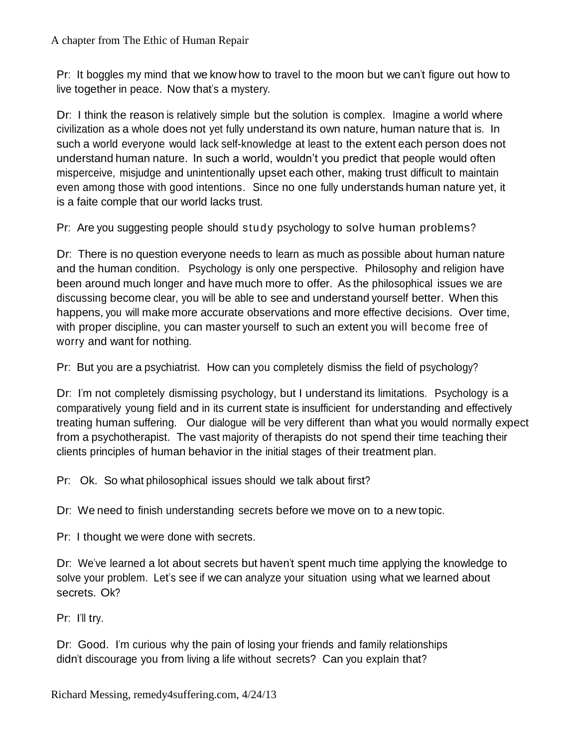Pr: It boggles my mind that we know how to travel to the moon but we can't figure out how to live together in peace. Now that's a mystery.

Dr: I think the reason is relatively simple but the solution is complex. Imagine a world where civilization as a whole does not yet fully understand its own nature, human nature that is. In such a world everyone would lack self-knowledge at least to the extent each person does not understand human nature. In such a world, wouldn't you predict that people would often misperceive, misjudge and unintentionally upset each other, making trust difficult to maintain even among those with good intentions. Since no one fully understands human nature yet, it is a faite comple that our world lacks trust.

Pr: Are you suggesting people should study psychology to solve human problems?

Dr: There is no question everyone needs to learn as much as possible about human nature and the human condition. Psychology is only one perspective. Philosophy and religion have been around much longer and have much more to offer. As the philosophical issues we are discussing become clear, you will be able to see and understand yourself better. When this happens, you will make more accurate observations and more effective decisions. Over time, with proper discipline, you can master yourself to such an extent you will become free of worry and want for nothing.

Pr: But you are a psychiatrist. How can you completely dismiss the field of psychology?

Dr: I'm not completely dismissing psychology, but I understand its limitations. Psychology is a comparatively young field and in its current state is insufficient for understanding and effectively treating human suffering. Our dialogue will be very different than what you would normally expect from a psychotherapist. The vast majority of therapists do not spend their time teaching their clients principles of human behavior in the initial stages of their treatment plan.

Pr: Ok. So what philosophical issues should we talk about first?

Dr: We need to finish understanding secrets before we move on to a new topic.

Pr: I thought we were done with secrets.

Dr: We've learned a lot about secrets but haven't spent much time applying the knowledge to solve your problem. Let's see if we can analyze your situation using what we learned about secrets. Ok?

Pr: I'll try.

Dr: Good. I'm curious why the pain of losing your friends and family relationships didn't discourage you from living a life without secrets? Can you explain that?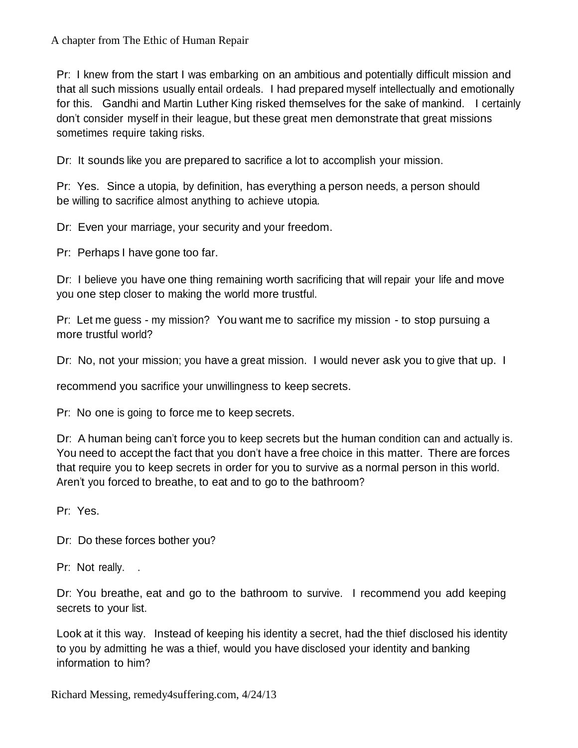A chapter from The Ethic of Human Repair

Pr: I knew from the start I was embarking on an ambitious and potentially difficult mission and that all such missions usually entail ordeals. I had prepared myself intellectually and emotionally for this. Gandhi and Martin Luther King risked themselves for the sake of mankind. I certainly don't consider myself in their league, but these great men demonstrate that great missions sometimes require taking risks.

Dr: It sounds like you are prepared to sacrifice a lot to accomplish your mission.

Pr: Yes. Since a utopia, by definition, has everything a person needs, a person should be willing to sacrifice almost anything to achieve utopia.

Dr: Even your marriage, your security and your freedom.

Pr: Perhaps I have gone too far.

Dr: I believe you have one thing remaining worth sacrificing that will repair your life and move you one step closer to making the world more trustful.

Pr: Let me guess - my mission? You want me to sacrifice my mission - to stop pursuing a more trustful world?

Dr: No, not your mission; you have a great mission. I would never ask you to give that up. I

recommend you sacrifice your unwillingness to keep secrets.

Pr: No one is going to force me to keep secrets.

Dr: A human being can't force you to keep secrets but the human condition can and actually is. You need to accept the fact that you don't have a free choice in this matter. There are forces that require you to keep secrets in order for you to survive as a normal person in this world. Aren't you forced to breathe, to eat and to go to the bathroom?

Pr: Yes.

Dr: Do these forces bother you?

Pr: Not really. .

Dr: You breathe, eat and go to the bathroom to survive. I recommend you add keeping secrets to your list.

Look at it this way. Instead of keeping his identity a secret, had the thief disclosed his identity to you by admitting he was a thief, would you have disclosed your identity and banking information to him?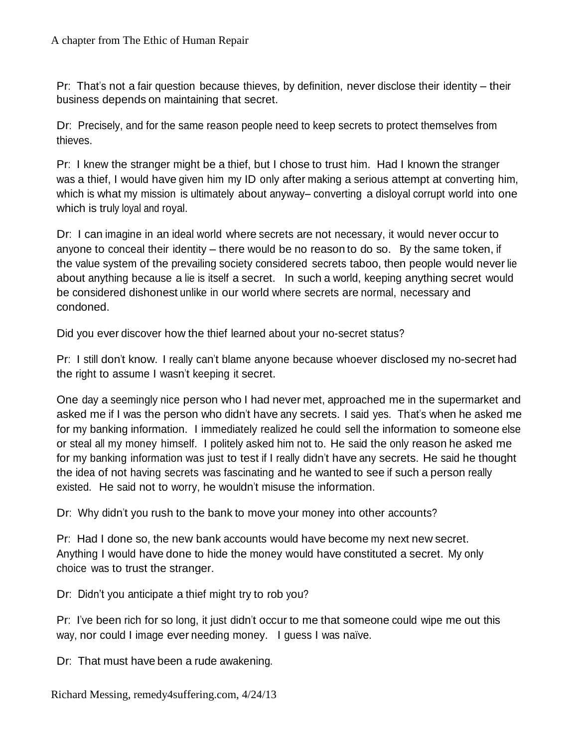Pr: That's not a fair question because thieves, by definition, never disclose their identity – their business depends on maintaining that secret.

Dr: Precisely, and for the same reason people need to keep secrets to protect themselves from thieves.

Pr: I knew the stranger might be a thief, but I chose to trust him. Had I known the stranger was a thief, I would have given him my ID only after making a serious attempt at converting him, which is what my mission is ultimately about anyway– converting a disloyal corrupt world into one which is truly loyal and royal.

Dr: I can imagine in an ideal world where secrets are not necessary, it would never occur to anyone to conceal their identity – there would be no reason to do so. By the same token, if the value system of the prevailing society considered secrets taboo, then people would never lie about anything because a lie is itself a secret. In such a world, keeping anything secret would be considered dishonest unlike in our world where secrets are normal, necessary and condoned.

Did you ever discover how the thief learned about your no-secret status?

Pr: I still don't know. I really can't blame anyone because whoever disclosed my no-secret had the right to assume I wasn't keeping it secret.

One day a seemingly nice person who I had never met, approached me in the supermarket and asked me if I was the person who didn't have any secrets. I said yes. That's when he asked me for my banking information. I immediately realized he could sell the information to someone else or steal all my money himself. I politely asked him not to. He said the only reason he asked me for my banking information was just to test if I really didn't have any secrets. He said he thought the idea of not having secrets was fascinating and he wanted to see if such a person really existed. He said not to worry, he wouldn't misuse the information.

Dr: Why didn't you rush to the bank to move your money into other accounts?

Pr: Had I done so, the new bank accounts would have become my next new secret. Anything I would have done to hide the money would have constituted a secret. My only choice was to trust the stranger.

Dr: Didn't you anticipate a thief might try to rob you?

Pr: I've been rich for so long, it just didn't occur to me that someone could wipe me out this way, nor could I image ever needing money. I guess I was naïve.

Dr: That must have been a rude awakening.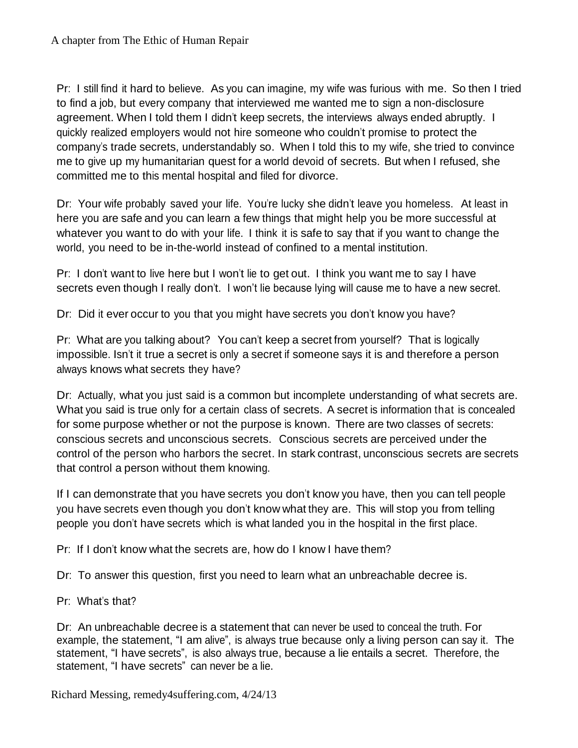Pr: I still find it hard to believe. As you can imagine, my wife was furious with me. So then I tried to find a job, but every company that interviewed me wanted me to sign a non-disclosure agreement. When I told them I didn't keep secrets, the interviews always ended abruptly. I quickly realized employers would not hire someone who couldn't promise to protect the company's trade secrets, understandably so. When I told this to my wife, she tried to convince me to give up my humanitarian quest for a world devoid of secrets. But when I refused, she committed me to this mental hospital and filed for divorce.

Dr: Your wife probably saved your life. You're lucky she didn't leave you homeless. At least in here you are safe and you can learn a few things that might help you be more successful at whatever you want to do with your life. I think it is safe to say that if you want to change the world, you need to be in-the-world instead of confined to a mental institution.

Pr: I don't want to live here but I won't lie to get out. I think you want me to say I have secrets even though I really don't. I won't lie because lying will cause me to have a new secret.

Dr: Did it ever occur to you that you might have secrets you don't know you have?

Pr: What are you talking about? You can't keep a secret from yourself? That is logically impossible. Isn't it true a secret is only a secret if someone says it is and therefore a person always knows what secrets they have?

Dr: Actually, what you just said is a common but incomplete understanding of what secrets are. What you said is true only for a certain class of secrets. A secret is information that is concealed for some purpose whether or not the purpose is known. There are two classes of secrets: conscious secrets and unconscious secrets. Conscious secrets are perceived under the control of the person who harbors the secret. In stark contrast, unconscious secrets are secrets that control a person without them knowing.

If I can demonstrate that you have secrets you don't know you have, then you can tell people you have secrets even though you don't know what they are. This will stop you from telling people you don't have secrets which is what landed you in the hospital in the first place.

Pr: If I don't know what the secrets are, how do I know I have them?

Dr: To answer this question, first you need to learn what an unbreachable decree is.

Pr: What's that?

Dr: An unbreachable decree is a statement that can never be used to conceal the truth. For example, the statement, "I am alive", is always true because only a living person can say it. The statement, "I have secrets", is also always true, because a lie entails a secret. Therefore, the statement, "I have secrets" can never be a lie.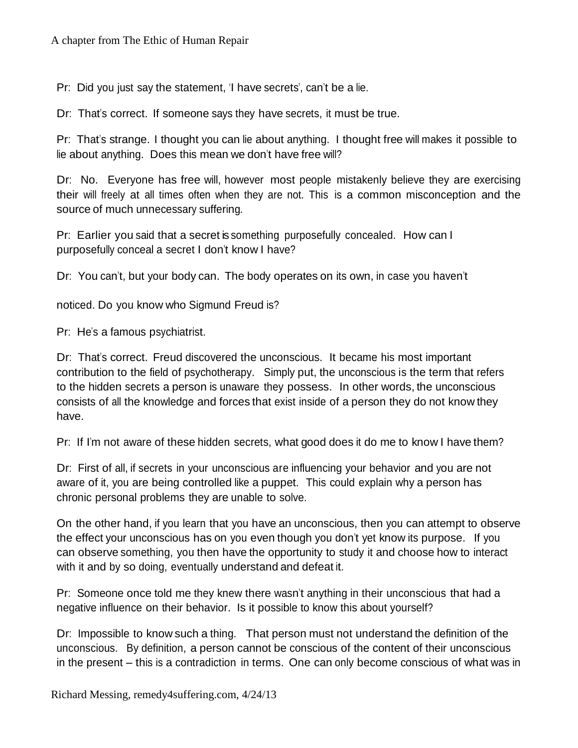Pr: Did you just say the statement, 'I have secrets', can't be a lie.

Dr: That's correct. If someone says they have secrets, it must be true.

Pr: That's strange. I thought you can lie about anything. I thought free will makes it possible to lie about anything. Does this mean we don't have free will?

Dr: No. Everyone has free will, however most people mistakenly believe they are exercising their will freely at all times often when they are not. This is a common misconception and the source of much unnecessary suffering.

Pr: Earlier you said that a secret is something purposefully concealed. How can I purposefully conceal a secret I don't know I have?

Dr: You can't, but your body can. The body operates on its own, in case you haven't

noticed. Do you know who Sigmund Freud is?

Pr: He's a famous psychiatrist.

Dr: That's correct. Freud discovered the unconscious. It became his most important contribution to the field of psychotherapy. Simply put, the unconscious is the term that refers to the hidden secrets a person is unaware they possess. In other words, the unconscious consists of all the knowledge and forces that exist inside of a person they do not know they have.

Pr: If I'm not aware of these hidden secrets, what good does it do me to know I have them?

Dr: First of all, if secrets in your unconscious are influencing your behavior and you are not aware of it, you are being controlled like a puppet. This could explain why a person has chronic personal problems they are unable to solve.

On the other hand, if you learn that you have an unconscious, then you can attempt to observe the effect your unconscious has on you even though you don't yet know its purpose. If you can observe something, you then have the opportunity to study it and choose how to interact with it and by so doing, eventually understand and defeat it.

Pr: Someone once told me they knew there wasn't anything in their unconscious that had a negative influence on their behavior. Is it possible to know this about yourself?

Dr: Impossible to know such a thing. That person must not understand the definition of the unconscious. By definition, a person cannot be conscious of the content of their unconscious in the present – this is a contradiction in terms. One can only become conscious of what was in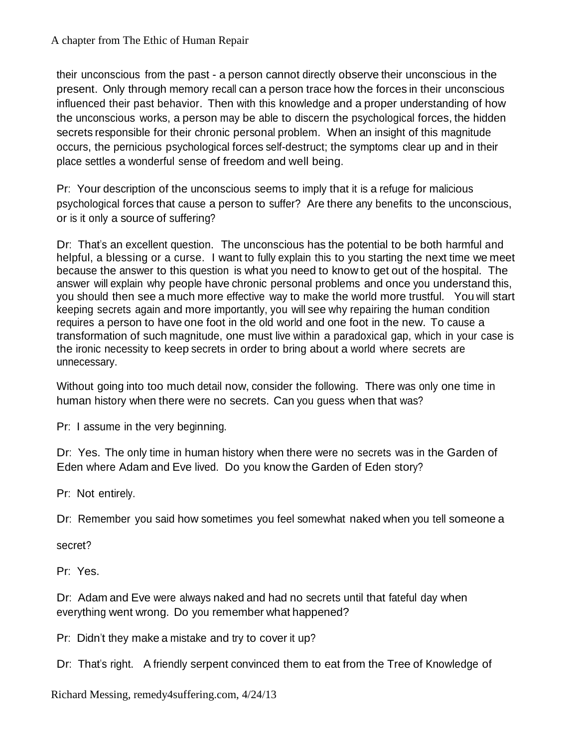their unconscious from the past - a person cannot directly observe their unconscious in the present. Only through memory recall can a person trace how the forces in their unconscious influenced their past behavior. Then with this knowledge and a proper understanding of how the unconscious works, a person may be able to discern the psychological forces, the hidden secrets responsible for their chronic personal problem. When an insight of this magnitude occurs, the pernicious psychological forces self-destruct; the symptoms clear up and in their place settles a wonderful sense of freedom and well being.

Pr: Your description of the unconscious seems to imply that it is a refuge for malicious psychological forces that cause a person to suffer? Are there any benefits to the unconscious, or is it only a source of suffering?

Dr: That's an excellent question. The unconscious has the potential to be both harmful and helpful, a blessing or a curse. I want to fully explain this to you starting the next time we meet because the answer to this question is what you need to know to get out of the hospital. The answer will explain why people have chronic personal problems and once you understand this, you should then see a much more effective way to make the world more trustful. You will start keeping secrets again and more importantly, you will see why repairing the human condition requires a person to have one foot in the old world and one foot in the new. To cause a transformation of such magnitude, one must live within a paradoxical gap, which in your case is the ironic necessity to keep secrets in order to bring about a world where secrets are unnecessary.

Without going into too much detail now, consider the following. There was only one time in human history when there were no secrets. Can you guess when that was?

Pr: I assume in the very beginning.

Dr: Yes. The only time in human history when there were no secrets was in the Garden of Eden where Adam and Eve lived. Do you know the Garden of Eden story?

Pr: Not entirely.

Dr: Remember you said how sometimes you feel somewhat naked when you tell someone a

secret?

Pr: Yes.

Dr: Adam and Eve were always naked and had no secrets until that fateful day when everything went wrong. Do you remember what happened?

Pr: Didn't they make a mistake and try to cover it up?

Dr: That's right. A friendly serpent convinced them to eat from the Tree of Knowledge of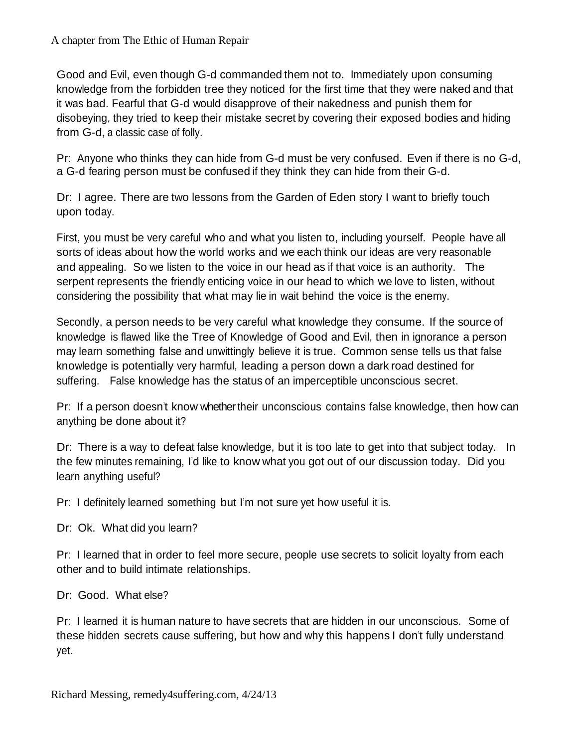#### A chapter from The Ethic of Human Repair

Good and Evil, even though G-d commanded them not to. Immediately upon consuming knowledge from the forbidden tree they noticed for the first time that they were naked and that it was bad. Fearful that G-d would disapprove of their nakedness and punish them for disobeying, they tried to keep their mistake secret by covering their exposed bodies and hiding from G-d, a classic case of folly.

Pr: Anyone who thinks they can hide from G-d must be very confused. Even if there is no G-d, a G-d fearing person must be confused if they think they can hide from their G-d.

Dr: I agree. There are two lessons from the Garden of Eden story I want to briefly touch upon today.

First, you must be very careful who and what you listen to, including yourself. People have all sorts of ideas about how the world works and we each think our ideas are very reasonable and appealing. So we listen to the voice in our head as if that voice is an authority. The serpent represents the friendly enticing voice in our head to which we love to listen, without considering the possibility that what may lie in wait behind the voice is the enemy.

Secondly, a person needs to be very careful what knowledge they consume. If the source of knowledge is flawed like the Tree of Knowledge of Good and Evil, then in ignorance a person may learn something false and unwittingly believe it is true. Common sense tells us that false knowledge is potentially very harmful, leading a person down a dark road destined for suffering. False knowledge has the status of an imperceptible unconscious secret.

Pr: If a person doesn't know whether their unconscious contains false knowledge, then how can anything be done about it?

Dr: There is a way to defeat false knowledge, but it is too late to get into that subject today. In the few minutes remaining, I'd like to know what you got out of our discussion today. Did you learn anything useful?

Pr: I definitely learned something but I'm not sure yet how useful it is.

Dr: Ok. What did you learn?

Pr: I learned that in order to feel more secure, people use secrets to solicit loyalty from each other and to build intimate relationships.

Dr: Good. What else?

Pr: I learned it is human nature to have secrets that are hidden in our unconscious. Some of these hidden secrets cause suffering, but how and why this happens I don't fully understand yet.